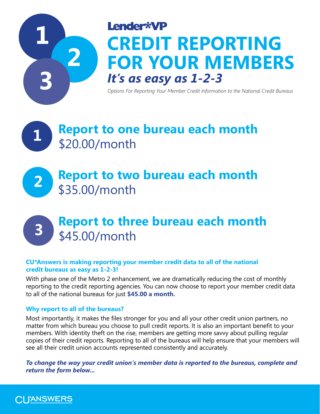

# Lender\*VP **CREDIT REPORTING FOR YOUR MEMBERS** *It's as easy as 1-2-3*

*Options For Reporting Your Member Credit Information to the National Credit Bureaus*

# **Report to one bureau each month** \$20.00/month **1**

# **2 Report to two bureau each month** \$35.00/month

# **Report to three bureau each month** \$45.00/month

# **CU\*Answers is making reporting your member credit data to all of the national credit bureaus as easy as 1-2-3!**

With phase one of the Metro 2 enhancement, we are dramatically reducing the cost of monthly reporting to the credit reporting agencies. You can now choose to report your member credit data to all of the national bureaus for just **\$45.00 a month.** 

# **Why report to all of the bureaus?**

Most importantly, it makes the files stronger for you and all your other credit union partners, no matter from which bureau you choose to pull credit reports. It is also an important benefit to your members. With identity theft on the rise, members are getting more savvy about pulling regular copies of their credit reports. Reporting to all of the bureaus will help ensure that your members will see all their credit union accounts represented consistently and accurately.

*To change the way your credit union's member data is reported to the bureaus, complete and return the form below...* 



**3**